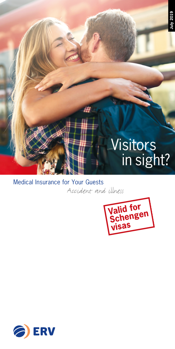# Visitors in sight?

**July 2019**

Medical Insurance for Your Guests Accident and illness



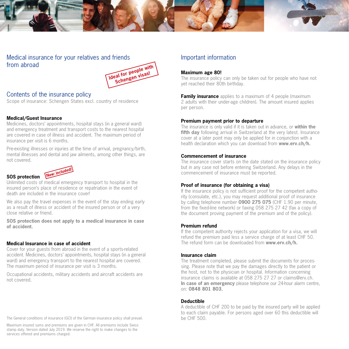



# Medical insurance for your relatives and friends from abroad



# Contents of the insurance policy

Scope of insurance: Schengen States excl. country of residence

# **Medical/Guest Insurance**

Medicines, doctors' appointments, hospital stays (in a general ward) and emergency treatment and transport costs to the nearest hospital are covered in case of illness and accident. The maximum period of insurance per visit is 6 months.

Pre-existing illnesses or injuries at the time of arrival, pregnancy/birth, mental illnesses and dental and jaw ailments, among other things, are not covered.



# **SOS protection** *New included* Unlimited costs of medical emergency transport to hospital in the insured person's place of residence or repatriation in the event of

death are included in the insurance cover! We also pay the travel expenses in the event of the stay ending early as a result of illness or accident of the insured person or of a very close relative or friend.

**SOS protection does not apply to a medical insurance in case of accident.**

# **Medical Insurance in case of accident**

Cover for your guests from abroad in the event of a sports-related accident. Medicines, doctors' appointments, hospital stays (in a general ward) and emergency transport to the nearest hospital are covered. The maximum period of insurance per visit is 3 months.

Occupational accidents, military accidents and aircraft accidents are not covered.

The General conditions of insurance (GCI) of the German insurance policy shall prevail.

Maximum insured sums and premiums are given in CHF. All premiums include Swiss stamp duty. Version dated July 2019. We reserve the right to make changes to the services offered and premiums charged.

# Important information

# **Maximum age 80!**

The insurance policy can only be taken out for people who have not yet reached their 80th birthday.

**Family insurance** applies to a maximum of 4 people (maximum 2 adults with their under-age children). The amount insured applies per person.

## **Premium payment prior to departure**

The insurance is only valid if it is taken out in advance, or **within the fifth day** following arrival in Switzerland at the very latest. Insurance cover at a later point may only be applied for in conjunction with a health declaration which you can download from **www.erv.ch/h.**

# **Commencement of insurance**

The insurance cover starts on the date stated on the insurance policy but in any case not before entering Switzerland. Any delays in the commencement of insurance must be reported.

# **Proof of insurance (for obtaining a visa)**

If the insurance policy is not sufficient proof for the competent authority (consulate, etc.), you may request additional proof of insurance by calling telephone number **0900 275 075** (CHF 1.90 per minute, from the fixed-line network) or faxing 058 275 27 42 (fax a copy of the document proving payment of the premium and of the policy).

# **Premium refund**

If the competent authority rejects your application for a visa, we will refund the premium paid less a service charge of at least CHF 50. The refund form can be downloaded from **www.erv.ch/h.**

# **Insurance claim**

The treatment completed, please submit the documents for processing. Please note that we pay the damages directly to the patient or the host, not to the physician or hospital. Information concerning insurance claims is available at 058 275 27 27 or claims@erv.ch. **In case of an emergency** please telephone our 24-hour alarm centre, on: **0848 801 803.**

# **Deductible**

A deductible of CHF 200 to be paid by the insured party will be applied to each claim payable. For persons aged over 60 this deductible will be CHF 500.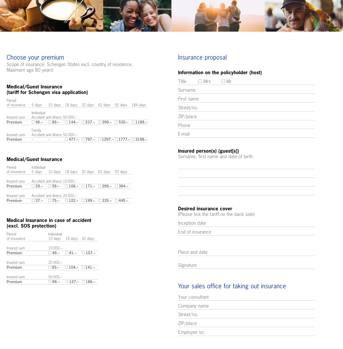

# Choose your premium

Scope of insurance: Schengen States excl. country of residence. Maximum age 80 years!

## **Medical/Guest Insurance (tariff for Schengen visa application)**

| Period<br>of insurance | 5 days     |                                | 10 days 18 days 32 days 62 days 92 days 184 days |  |                                                                                           |
|------------------------|------------|--------------------------------|--------------------------------------------------|--|-------------------------------------------------------------------------------------------|
|                        |            |                                |                                                  |  |                                                                                           |
| Insured sum            | Individual | Accident and illness 50 000 .- |                                                  |  |                                                                                           |
| Premium                |            |                                |                                                  |  | $\Box$ 46.- $\Box$ 89.- $\Box$ 144.- $\Box$ 237.- $\Box$ 399.- $\Box$ 530.- $\Box$ 1188.- |
| Insured sum            | Family     | Accident and illness 50000 -   |                                                  |  |                                                                                           |
| Premium                |            |                                |                                                  |  | $\Box$ 477.- $\Box$ 797.- $\Box$ 1297.- $\Box$ 1777.- $\Box$ 3188.-                       |
|                        |            |                                |                                                  |  |                                                                                           |

# **Medical/Guest Insurance**

| Period<br>of insurance | Individual<br>5 davs |                                | 10 days 18 days 32 days 62 days 92 days                                     |  |  |
|------------------------|----------------------|--------------------------------|-----------------------------------------------------------------------------|--|--|
| Insured sum            |                      | Accident and illness 10000 .-  |                                                                             |  |  |
| Premium                |                      |                                | $\Box$ 29 - $\Box$ 59 - $\Box$ 106 - $\Box$ 171 - $\Box$ 289 - $\Box$ 384 - |  |  |
| Insured sum            |                      | Accident and illness 20 000 .- |                                                                             |  |  |
| Premium                |                      |                                | $\Box$ 37.- $\Box$ 75.- $\Box$ 122.- $\Box$ 199.- $\Box$ 335.- $\Box$ 445.- |  |  |

#### **Medical Insurance in case of accident (excl. SOS protection)**

| Period<br>of insurance | Individual | 10 days 18 days 32 days               |  |
|------------------------|------------|---------------------------------------|--|
| Insured sum<br>Premium | $10000 -$  | $\Box$ 49.- $\Box$ 81.- $\Box$ 107.-  |  |
| Insured sum<br>Premium | $20000 -$  | $\Box$ 65.- $\Box$ 104.- $\Box$ 141.- |  |
| Insured sum<br>Premium | $50000 -$  | $\Box$ 99.- $\Box$ 127.- $\Box$ 186.- |  |

# Insurance proposal

# **Information on the policyholder (host)**

| Title      | $\Box$ Mrs | $\Box$ Mr |  |  |
|------------|------------|-----------|--|--|
| Surname    |            |           |  |  |
| First name |            |           |  |  |
| Street/no. |            |           |  |  |
| ZIP/place  |            |           |  |  |
| Phone      |            |           |  |  |
| E-mail     |            |           |  |  |

# **Insured person(s) (guest[s])**

Surname, first name and date of birth

# **Desired insurance cover**  (Please tick the tariff on the back side)

Inception date

End of insurance

Place and date

Signature

# Your sales office for taking out insurance

Your consultant Company name Street/no. ZIP/place Employee no.